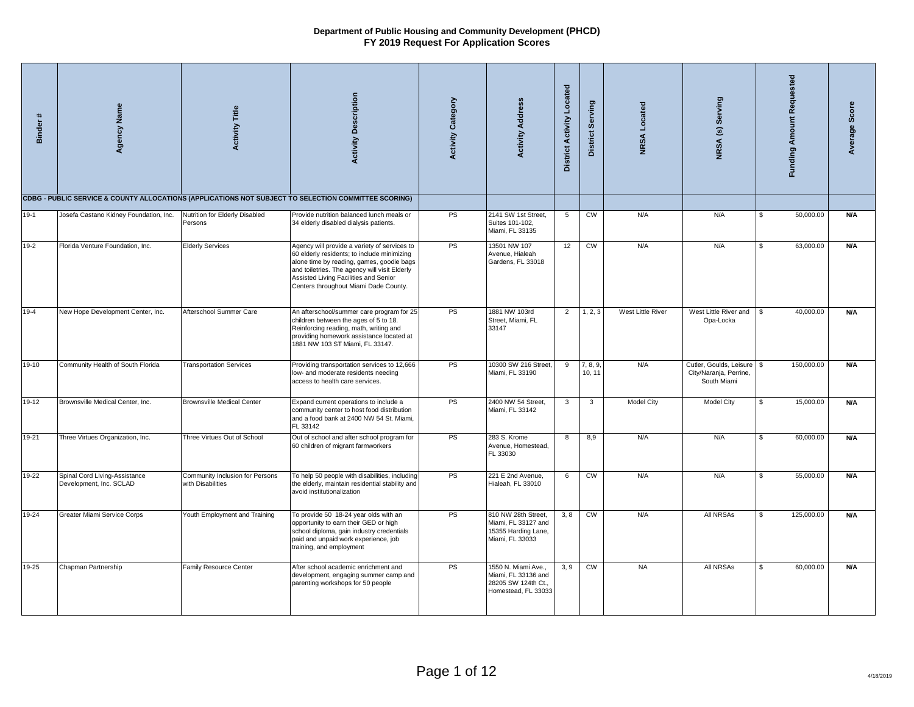| $\ast$<br><b>Binder</b> | Agency Name                                              | <b>Activity Title</b>                                | <b>Activity Description</b>                                                                                                                                                                                                                                                 | <b>Activity Category</b> | <b>Activity Address</b>                                                                  | <b>District Activity Located</b> | District Serving       | <b>NRSA</b> Located | NRSA (s) Serving                                                 | <b>Funding Amount Requested</b> |            | Average Score |
|-------------------------|----------------------------------------------------------|------------------------------------------------------|-----------------------------------------------------------------------------------------------------------------------------------------------------------------------------------------------------------------------------------------------------------------------------|--------------------------|------------------------------------------------------------------------------------------|----------------------------------|------------------------|---------------------|------------------------------------------------------------------|---------------------------------|------------|---------------|
|                         |                                                          |                                                      | CDBG - PUBLIC SERVICE & COUNTY ALLOCATIONS (APPLICATIONS NOT SUBJECT TO SELECTION COMMITTEE SCORING)                                                                                                                                                                        |                          |                                                                                          |                                  |                        |                     |                                                                  |                                 |            |               |
| $19-1$                  | Josefa Castano Kidney Foundation, Inc.                   | Nutrition for Elderly Disabled<br>Persons            | Provide nutrition balanced lunch meals or<br>34 elderly disabled dialysis patients.                                                                                                                                                                                         | <b>PS</b>                | 2141 SW 1st Street,<br>Suites 101-102,<br>Miami, FL 33135                                | 5                                | $\overline{\text{cm}}$ | N/A                 | N/A                                                              |                                 | 50,000.00  | N/A           |
| $19-2$                  | Florida Venture Foundation, Inc.                         | <b>Elderly Services</b>                              | Agency will provide a variety of services to<br>60 elderly residents; to include minimizing<br>alone time by reading, games, goodie bags<br>and toiletries. The agency will visit Elderly<br>Assisted Living Facilities and Senior<br>Centers throughout Miami Dade County. | PS                       | 13501 NW 107<br>Avenue, Hialeah<br>Gardens, FL 33018                                     | 12                               | CW                     | N/A                 | N/A                                                              | \$.                             | 63,000.00  | N/A           |
| $19-4$                  | New Hope Development Center, Inc.                        | Afterschool Summer Care                              | An afterschool/summer care program for 25<br>children between the ages of 5 to 18.<br>Reinforcing reading, math, writing and<br>providing homework assistance located at<br>1881 NW 103 ST Miami, FL 33147.                                                                 | PS                       | 1881 NW 103rd<br>Street, Miami, FL<br>33147                                              | $\overline{2}$                   | 1, 2, 3                | West Little River   | West Little River and \\$<br>Opa-Locka                           |                                 | 40,000.00  | N/A           |
| $19 - 10$               | Community Health of South Florida                        | <b>Transportation Services</b>                       | Providing transportation services to 12,666<br>low- and moderate residents needing<br>access to health care services.                                                                                                                                                       | PS                       | 10300 SW 216 Street,<br>Miami, FL 33190                                                  | 9                                | 7, 8, 9,<br>10.11      | N/A                 | Cutler, Goulds, Leisure<br>City/Naranja, Perrine,<br>South Miami | \$                              | 150,000.00 | N/A           |
| 19-12                   | Brownsville Medical Center, Inc.                         | <b>Brownsville Medical Center</b>                    | Expand current operations to include a<br>community center to host food distribution<br>and a food bank at 2400 NW 54 St. Miami,<br>FL 33142                                                                                                                                | PS                       | 2400 NW 54 Street.<br>Miami, FL 33142                                                    | 3                                | 3                      | Model City          | <b>Model City</b>                                                |                                 | 15,000.00  | N/A           |
| 19-21                   | Three Virtues Organization, Inc.                         | Three Virtues Out of School                          | Out of school and after school program for<br>60 children of migrant farmworkers                                                                                                                                                                                            | PS                       | 283 S. Krome<br>Avenue, Homestead,<br>FL 33030                                           | 8                                | 8.9                    | N/A                 | N/A                                                              | \$                              | 60,000.00  | N/A           |
| 19-22                   | Spinal Cord Living-Assistance<br>Development, Inc. SCLAD | Community Inclusion for Persons<br>with Disabilities | To help 50 people with disabilities, including<br>the elderly, maintain residential stability and<br>avoid institutionalization                                                                                                                                             | PS                       | 221 E 2nd Avenue,<br>Hialeah, FL 33010                                                   | 6                                | <b>CW</b>              | N/A                 | N/A                                                              | \$                              | 55,000.00  | N/A           |
| $19 - 24$               | <b>Greater Miami Service Corps</b>                       | Youth Employment and Training                        | To provide 50 18-24 year olds with an<br>opportunity to earn their GED or high<br>school diploma, gain industry credentials<br>paid and unpaid work experience, job<br>training, and employment                                                                             | PS                       | 810 NW 28th Street,<br>Miami, FL 33127 and<br>15355 Harding Lane,<br>Miami, FL 33033     | 3, 8                             | $\overline{\text{cm}}$ | N/A                 | <b>All NRSAs</b>                                                 | \$.                             | 125,000.00 | N/A           |
| $19 - 25$               | Chapman Partnership                                      | Family Resource Center                               | After school academic enrichment and<br>development, engaging summer camp and<br>parenting workshops for 50 people                                                                                                                                                          | PS                       | 1550 N. Miami Ave.,<br>Miami, FL 33136 and<br>28205 SW 124th Ct.,<br>Homestead, FL 33033 | 3, 9                             | $\overline{\text{cm}}$ | <b>NA</b>           | <b>All NRSAs</b>                                                 | \$.                             | 60,000.00  | N/A           |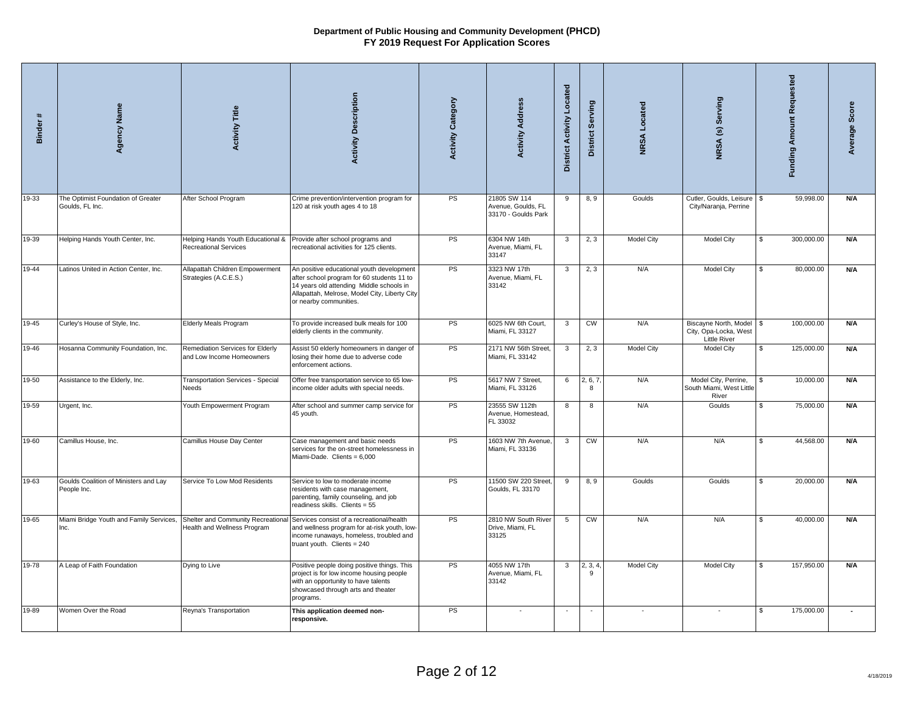| $\ddot{\phantom{1}}$<br><b>Binder</b> | Agency Name                                                                       | <b>Activity Title</b>                                             | <b>Activity Description</b>                                                                                                                                                                                    | <b>Activity Category</b> | <b>Activity Address</b>                                   | <b>District Activity Located</b> | District Serving | NRSA Located      | NRSA (s) Serving                                                         | <b>Funding Amount Requested</b> | Average Score |
|---------------------------------------|-----------------------------------------------------------------------------------|-------------------------------------------------------------------|----------------------------------------------------------------------------------------------------------------------------------------------------------------------------------------------------------------|--------------------------|-----------------------------------------------------------|----------------------------------|------------------|-------------------|--------------------------------------------------------------------------|---------------------------------|---------------|
| 19-33                                 | The Optimist Foundation of Greater<br>Goulds, FL Inc.                             | After School Program                                              | Crime prevention/intervention program for<br>120 at risk youth ages 4 to 18                                                                                                                                    | PS                       | 21805 SW 114<br>Avenue, Goulds, FL<br>33170 - Goulds Park | 9                                | 8, 9             | Goulds            | Cutler, Goulds, Leisure<br>City/Naranja, Perrine                         | 59,998.00<br>- \$               | N/A           |
| 19-39                                 | Helping Hands Youth Center, Inc.                                                  | Helping Hands Youth Educational &<br><b>Recreational Services</b> | Provide after school programs and<br>recreational activities for 125 clients.                                                                                                                                  | PS                       | 6304 NW 14th<br>Avenue, Miami, FL<br>33147                | $\mathbf{3}$                     | 2, 3             | Model City        | <b>Model City</b>                                                        | 300,000.00<br>\$                | N/A           |
| 19-44                                 | Latinos United in Action Center, Inc.                                             | Allapattah Children Empowerment<br>Strategies (A.C.E.S.)          | An positive educational youth development<br>after school program for 60 students 11 to<br>14 years old attending Middle schools in<br>Allapattah, Melrose, Model City, Liberty City<br>or nearby communities. | PS                       | 3323 NW 17th<br>Avenue, Miami, FL<br>33142                | 3                                | 2, 3             | N/A               | Model City                                                               | 80,000.00<br>\$                 | N/A           |
| 19-45                                 | Curley's House of Style, Inc.                                                     | Elderly Meals Program                                             | To provide increased bulk meals for 100<br>elderly clients in the community.                                                                                                                                   | PS                       | 6025 NW 6th Court,<br>Miami, FL 33127                     | $\mathbf{3}$                     | cw               | N/A               | Biscayne North, Model \$<br>City, Opa-Locka, West<br><b>Little River</b> | 100,000.00                      | N/A           |
| 19-46                                 | Hosanna Community Foundation, Inc.                                                | Remediation Services for Elderly<br>and Low Income Homeowners     | Assist 50 elderly homeowners in danger of<br>losing their home due to adverse code<br>enforcement actions.                                                                                                     | PS                       | 2171 NW 56th Street,<br>Miami, FL 33142                   | $\mathbf{3}$                     | 2, 3             | <b>Model City</b> | <b>Model City</b>                                                        | 125,000.00<br>\$                | N/A           |
| 19-50                                 | Assistance to the Elderly, Inc.                                                   | Transportation Services - Special<br>Needs                        | Offer free transportation service to 65 low-<br>income older adults with special needs.                                                                                                                        | PS                       | 5617 NW 7 Street,<br>Miami, FL 33126                      | 6                                | 2, 6, 7<br>8     | N/A               | Model City, Perrine,<br>South Miami, West Little<br>River                | 10,000.00<br>\$                 | N/A           |
| 19-59                                 | Urgent, Inc.                                                                      | Youth Empowerment Program                                         | After school and summer camp service for<br>45 youth.                                                                                                                                                          | <b>PS</b>                | 23555 SW 112th<br>Avenue, Homestead,<br>FL 33032          | 8                                | 8                | N/A               | Goulds                                                                   | 75,000.00<br>\$                 | N/A           |
| 19-60                                 | Camillus House, Inc.                                                              | Camillus House Day Center                                         | Case management and basic needs<br>services for the on-street homelessness in<br>Miami-Dade. Clients = 6,000                                                                                                   | PS                       | 1603 NW 7th Avenue,<br>Miami, FL 33136                    | 3                                | <b>CW</b>        | N/A               | N/A                                                                      | \$<br>44,568.00                 | N/A           |
| 19-63                                 | Goulds Coalition of Ministers and Lay<br>People Inc.                              | Service To Low Mod Residents                                      | Service to low to moderate income<br>residents with case management,<br>parenting, family counseling, and job<br>readiness skills. Clients = 55                                                                | PS                       | 11500 SW 220 Street,<br>Goulds, FL 33170                  | 9                                | 8, 9             | Goulds            | Goulds                                                                   | 20,000.00<br>\$                 | N/A           |
| 19-65                                 | Miami Bridge Youth and Family Services, Shelter and Community Recreationa<br>Inc. | Health and Wellness Program                                       | Services consist of a recreational/health<br>and wellness program for at-risk youth, low-<br>income runaways, homeless, troubled and<br>truant youth. Clients = 240                                            | <b>PS</b>                | 2810 NW South River<br>Drive, Miami, FL<br>33125          | $5\overline{5}$                  | $\mathsf{cw}$    | N/A               | N/A                                                                      | 40,000.00<br>\$                 | N/A           |
| 19-78                                 | A Leap of Faith Foundation                                                        | Dying to Live                                                     | Positive people doing positive things. This<br>project is for low income housing people<br>with an opportunity to have talents<br>showcased through arts and theater<br>programs.                              | PS                       | 4055 NW 17th<br>Avenue, Miami, FL<br>33142                | $\mathbf{3}$                     | 2, 3, 4<br>9     | <b>Model City</b> | <b>Model City</b>                                                        | 157,950.00<br>\$                | N/A           |
| 19-89                                 | Women Over the Road                                                               | Reyna's Transportation                                            | This application deemed non-<br>responsive.                                                                                                                                                                    | PS                       |                                                           | $\sim$                           |                  |                   |                                                                          | 175,000.00<br>\$                |               |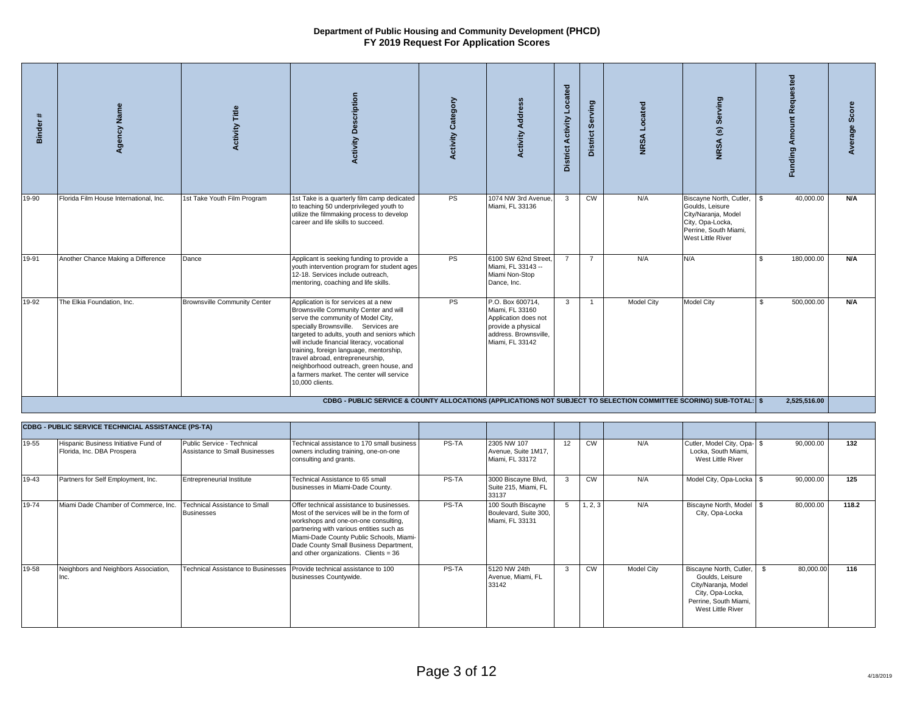| #<br>Binder | Name<br>Agency                         | <b>Activity Title</b>               | ption<br>Ă<br>Activity                                                                                                                                                                                                                                                                                                                                                                                                                             | <b>Activity Category</b> | <b>Activity Address</b>                                                                                                       | Located<br>Activity<br>District | Serving<br><b>District</b> | <b>NRSA</b> Located | ving<br>Ŏ.<br>$\widehat{\mathbf{s}}$<br><b>NRSA</b>                                                                                 | Requested<br><b>Funding Amount</b> | Score<br>Average |
|-------------|----------------------------------------|-------------------------------------|----------------------------------------------------------------------------------------------------------------------------------------------------------------------------------------------------------------------------------------------------------------------------------------------------------------------------------------------------------------------------------------------------------------------------------------------------|--------------------------|-------------------------------------------------------------------------------------------------------------------------------|---------------------------------|----------------------------|---------------------|-------------------------------------------------------------------------------------------------------------------------------------|------------------------------------|------------------|
| 19-90       | Florida Film House International, Inc. | 1st Take Youth Film Program         | 1st Take is a quarterly film camp dedicated<br>to teaching 50 underprivileged youth to<br>utilize the filmmaking process to develop<br>career and life skills to succeed.                                                                                                                                                                                                                                                                          | PS                       | 1074 NW 3rd Avenue.<br>Miami, FL 33136                                                                                        | $\mathbf{3}$                    | CW                         | N/A                 | Biscayne North, Cutler,<br>Goulds, Leisure<br>City/Naranja, Model<br>City, Opa-Locka,<br>Perrine, South Miami,<br>West Little River | 40,000.00<br>\$                    | N/A              |
| 19-91       | Another Chance Making a Difference     | Dance                               | Applicant is seeking funding to provide a<br>youth intervention program for student ages<br>12-18. Services include outreach,<br>mentoring, coaching and life skills.                                                                                                                                                                                                                                                                              | PS                       | 6100 SW 62nd Street.<br>Miami, FL 33143 --<br>Miami Non-Stop<br>Dance, Inc.                                                   | $\overline{7}$                  | $\overline{7}$             | N/A                 | N/A                                                                                                                                 | 180,000.00<br>\$.                  | N/A              |
| 19-92       | The Elkia Foundation, Inc.             | <b>Brownsville Community Center</b> | Application is for services at a new<br>Brownsville Community Center and will<br>serve the community of Model City,<br>specially Brownsville. Services are<br>targeted to adults, youth and seniors which<br>will include financial literacy, vocational<br>training, foreign language, mentorship,<br>travel abroad, entrepreneurship,<br>neighborhood outreach, green house, and<br>a farmers market. The center will service<br>10,000 clients. | <b>PS</b>                | P.O. Box 600714,<br>Miami, FL 33160<br>Application does not<br>provide a physical<br>address. Brownsville,<br>Miami, FL 33142 | $\mathbf{3}$                    | $\mathbf{1}$               | <b>Model City</b>   | <b>Model City</b>                                                                                                                   | \$<br>500.000.00                   | <b>N/A</b>       |
|             |                                        |                                     | CDBG - PUBLIC SERVICE & COUNTY ALLOCATIONS (APPLICATIONS NOT SUBJECT TO SELECTION COMMITTEE SCORING) SUB-TOTAL: S                                                                                                                                                                                                                                                                                                                                  |                          |                                                                                                                               |                                 |                            |                     |                                                                                                                                     | 2,525,516.00                       |                  |

|       | CDBG - PUBLIC SERVICE TECHNICIAL ASSISTANCE (PS-TA)                |                                                              |                                                                                                                                                                                                                                                                                                             |       |                                                                |    |           |            |                                                                                                                                     |           |       |
|-------|--------------------------------------------------------------------|--------------------------------------------------------------|-------------------------------------------------------------------------------------------------------------------------------------------------------------------------------------------------------------------------------------------------------------------------------------------------------------|-------|----------------------------------------------------------------|----|-----------|------------|-------------------------------------------------------------------------------------------------------------------------------------|-----------|-------|
| 19-55 | Hispanic Business Initiative Fund of<br>Florida, Inc. DBA Prospera | Public Service - Technical<br>Assistance to Small Businesses | Technical assistance to 170 small business<br>owners including training, one-on-one<br>consulting and grants.                                                                                                                                                                                               | PS-TA | 2305 NW 107<br>Avenue, Suite 1M17,<br>Miami, FL 33172          | 12 | <b>CW</b> | N/A        | Cutler, Model City, Opa- \$<br>Locka, South Miami,<br>West Little River                                                             | 90,000.00 | 132   |
| 19-43 | Partners for Self Employment, Inc.                                 | <b>Entrepreneurial Institute</b>                             | Technical Assistance to 65 small<br>businesses in Miami-Dade County.                                                                                                                                                                                                                                        | PS-TA | 3000 Biscayne Blvd,<br>Suite 215, Miami, FL<br>33137           |    | <b>CW</b> | N/A        | Model City, Opa-Locka                                                                                                               | 90,000.00 | 125   |
| 19-74 | Miami Dade Chamber of Commerce, Inc.                               | Technical Assistance to Small<br><b>Businesses</b>           | Offer technical assistance to businesses.<br>Most of the services will be in the form of<br>workshops and one-on-one consulting,<br>partnering with various entities such as<br>Miami-Dade County Public Schools, Miami-<br>Dade County Small Business Department,<br>and other organizations. Clients = 36 | PS-TA | 100 South Biscayne<br>Boulevard, Suite 300,<br>Miami, FL 33131 |    | , 2, 3    | N/A        | Biscayne North, Model<br>City, Opa-Locka                                                                                            | 80,000.00 | 118.2 |
| 19-58 | Neighbors and Neighbors Association,<br>nc.                        | Technical Assistance to Businesses                           | Provide technical assistance to 100<br>businesses Countywide.                                                                                                                                                                                                                                               | PS-TA | 5120 NW 24th<br>Avenue, Miami, FL<br>33142                     |    | <b>CW</b> | Model City | Biscayne North, Cutler,<br>Goulds, Leisure<br>City/Naranja, Model<br>City, Opa-Locka,<br>Perrine, South Miami,<br>West Little River | 80,000.00 | 116   |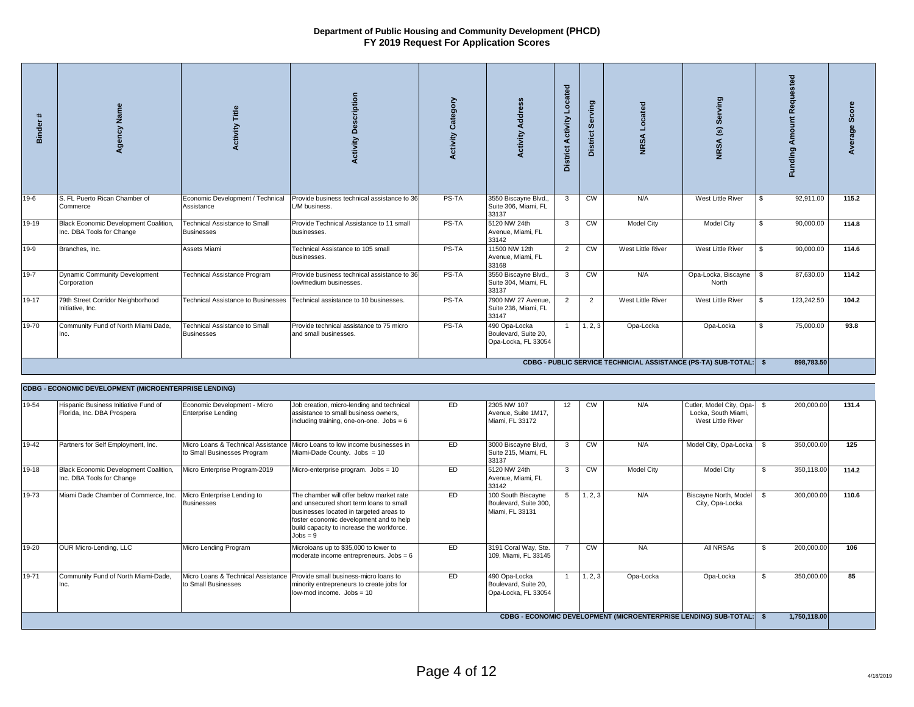| #<br><b>Binder</b> | Ž<br>Agency                                                           | Title<br>Activity                                  | ption<br>◠<br>$\frac{1}{2}$<br>ã                                      | Category<br><b>Activity</b> | <b>Ro</b><br><b>Activity</b>                                 | Located<br>Activity<br><b>District</b> | Serving<br><b>District</b> | <b>NRSA</b> Located | ē<br><b>NRSA</b>             |    | ᇾ<br>э<br>ਠ<br>Ę<br>Funding | core<br>Ŏ,<br>Average |
|--------------------|-----------------------------------------------------------------------|----------------------------------------------------|-----------------------------------------------------------------------|-----------------------------|--------------------------------------------------------------|----------------------------------------|----------------------------|---------------------|------------------------------|----|-----------------------------|-----------------------|
| $19-6$             | S. FL Puerto Rican Chamber of<br>Commerce                             | Economic Development / Technical<br>Assistance     | Provide business technical assistance to 36<br>L/M business.          | PS-TA                       | 3550 Biscayne Blvd.,<br>Suite 306, Miami, FL<br>33137        | $\mathbf{3}$                           | $\overline{\text{cw}}$     | N/A                 | West Little River            | \$ | 92,911.00                   | 115.2                 |
| $19 - 19$          | Black Economic Development Coalition,<br>Inc. DBA Tools for Change    | Technical Assistance to Small<br><b>Businesses</b> | Provide Technical Assistance to 11 small<br>businesses.               | PS-TA                       | 5120 NW 24th<br>Avenue, Miami, FL<br>33142                   | 3                                      | $\overline{\text{cw}}$     | <b>Model City</b>   | <b>Model City</b>            | \$ | 90,000.00                   | 114.8                 |
| $19-9$             | Branches, Inc.                                                        | Assets Miami                                       | Technical Assistance to 105 small<br>businesses.                      | PS-TA                       | 11500 NW 12th<br>Avenue, Miami, FL<br>33168                  | 2                                      | <b>CW</b>                  | West Little River   | West Little River            | \$ | 90,000.00                   | 114.6                 |
| $19 - 7$           | Dynamic Community Development<br>Corporation                          | <b>Technical Assistance Program</b>                | Provide business technical assistance to 36<br>low/medium businesses. | PS-TA                       | 3550 Biscayne Blvd.,<br>Suite 304, Miami, FL<br>33137        | $\mathbf{3}$                           | $\overline{\text{cw}}$     | N/A                 | Opa-Locka, Biscayne<br>North | \$ | 87,630.00                   | 114.2                 |
| 19-17              | 79th Street Corridor Neighborhood<br>Initiative, Inc.                 | Technical Assistance to Businesses                 | Technical assistance to 10 businesses.                                | PS-TA                       | 7900 NW 27 Avenue.<br>Suite 236, Miami, FL<br>33147          | $\overline{2}$                         | 2                          | West Little River   | West Little River            | \$ | 123,242.50                  | 104.2                 |
| 19-70              | Community Fund of North Miami Dade,<br>Inc.                           | Technical Assistance to Small<br><b>Businesses</b> | Provide technical assistance to 75 micro<br>and small businesses.     | PS-TA                       | 490 Opa-Locka<br>Boulevard, Suite 20,<br>Opa-Locka, FL 33054 |                                        | 1, 2, 3                    | Opa-Locka           | Opa-Locka                    | \$ | 75,000.00                   | 93.8                  |
|                    | CDBG - PUBLIC SERVICE TECHNICIAL ASSISTANCE (PS-TA) SUB-TOTAL:<br>- S |                                                    |                                                                       |                             |                                                              |                                        |                            |                     |                              |    |                             |                       |

|                                                                  | CDBG - ECONOMIC DEVELOPMENT (MICROENTERPRISE LENDING)                    |                                                                   |                                                                                                                                                                                                                                      |     |                                                                |    |           |            |                                                                      |     |            |              |
|------------------------------------------------------------------|--------------------------------------------------------------------------|-------------------------------------------------------------------|--------------------------------------------------------------------------------------------------------------------------------------------------------------------------------------------------------------------------------------|-----|----------------------------------------------------------------|----|-----------|------------|----------------------------------------------------------------------|-----|------------|--------------|
| 19-54                                                            | Hispanic Business Initiative Fund of<br>Florida, Inc. DBA Prospera       | Economic Development - Micro<br>Enterprise Lending                | Job creation, micro-lending and technical<br>assistance to small business owners.<br>including training, one-on-one. Jobs = 6                                                                                                        | ED  | 2305 NW 107<br>Avenue, Suite 1M17,<br>Miami, FL 33172          | 12 | CW        | N/A        | Cutler, Model City, Opa-<br>Locka, South Miami,<br>West Little River | -S  | 200,000.00 | 131.4        |
| 19-42                                                            | Partners for Self Employment, Inc.                                       | Micro Loans & Technical Assistance<br>to Small Businesses Program | Micro Loans to low income businesses in<br>Miami-Dade County. Jobs = 10                                                                                                                                                              | ED. | 3000 Biscayne Blvd,<br>Suite 215, Miami, FL<br>33137           |    | <b>CW</b> | N/A        | Model City, Opa-Locka                                                |     | 350,000.00 | 125          |
| 19-18                                                            | <b>Black Economic Development Coalition</b><br>Inc. DBA Tools for Change | Micro Enterprise Program-2019                                     | Micro-enterprise program. Jobs = 10                                                                                                                                                                                                  | ED  | 5120 NW 24th<br>Avenue, Miami, FL<br>33142                     |    | CW        | Model City | Model City                                                           |     | 350.118.00 | 114.2        |
| 19-73                                                            | Miami Dade Chamber of Commerce, Inc.                                     | Micro Enterprise Lending to<br><b>Businesses</b>                  | The chamber will offer below market rate<br>and unsecured short term loans to small<br>businesses located in targeted areas to<br>foster economic development and to help<br>build capacity to increase the workforce.<br>$Jobs = 9$ | ED  | 100 South Biscayne<br>Boulevard, Suite 300,<br>Miami, FL 33131 |    | 1, 2, 3   | N/A        | Biscayne North, Model<br>City, Opa-Locka                             | \$. | 300,000.00 | 110.6        |
| 19-20                                                            | OUR Micro-Lending, LLC                                                   | Micro Lending Program                                             | Microloans up to \$35,000 to lower to<br>moderate income entrepreneurs. Jobs = $6$                                                                                                                                                   | ED  | 3191 Coral Way, Ste.<br>109. Miami. FL 33145                   |    | <b>CW</b> | <b>NA</b>  | All NRSAs                                                            |     | 200,000.00 | 106          |
| 19-71                                                            | Community Fund of North Miami-Dade,                                      | to Small Businesses                                               | Micro Loans & Technical Assistance Provide small business-micro loans to<br>minority entrepreneurs to create jobs for<br>low-mod income. Jobs = 10                                                                                   | ED. | 490 Opa-Locka<br>Boulevard, Suite 20.<br>Opa-Locka, FL 33054   |    | 1, 2, 3   | Opa-Locka  | Opa-Locka                                                            |     | 350,000.00 | 85           |
| CDBG - ECONOMIC DEVELOPMENT (MICROENTERPRISE LENDING) SUB-TOTAL: |                                                                          |                                                                   |                                                                                                                                                                                                                                      |     |                                                                |    |           |            |                                                                      |     |            | 1,750,118.00 |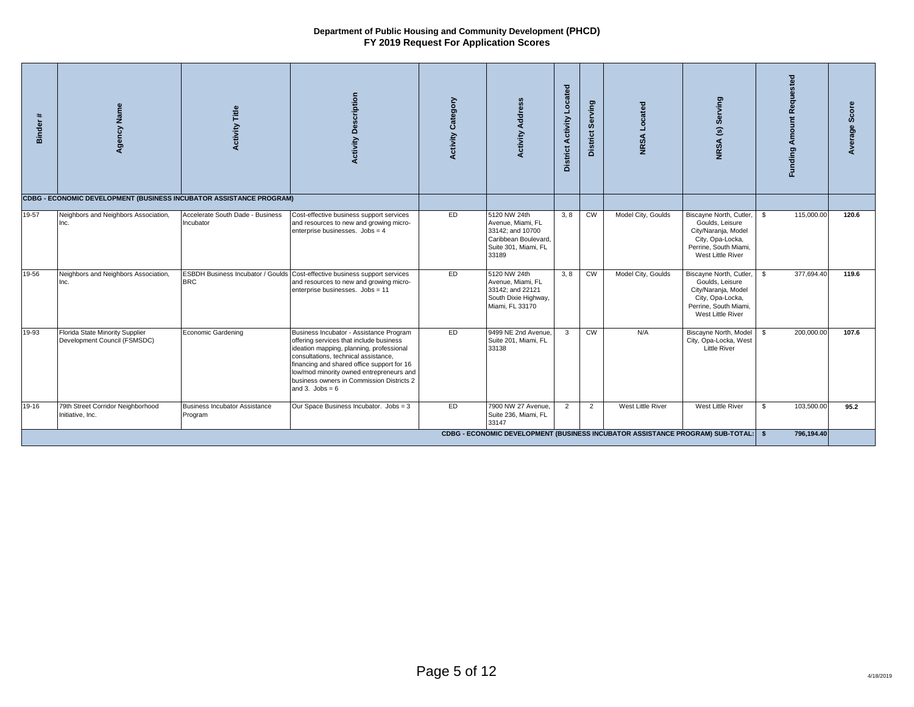| $\ddot{}$<br><b>Binder</b> | Agency Name                                                                | <b>Activity Title</b>                           | scription<br>൧ഀ<br>Activity                                                                                                                                                                                                                                                                                                        | <b>Activity Category</b> | <b>Activity Address</b>                                                                                        | Located<br>Activity<br>District | Serving<br>District:   | <b>NRSA</b> Located                                                                 | NRSA (s) Serving                                                                                                                    | <b>Funding Amount Requested</b> | Score<br>Average |
|----------------------------|----------------------------------------------------------------------------|-------------------------------------------------|------------------------------------------------------------------------------------------------------------------------------------------------------------------------------------------------------------------------------------------------------------------------------------------------------------------------------------|--------------------------|----------------------------------------------------------------------------------------------------------------|---------------------------------|------------------------|-------------------------------------------------------------------------------------|-------------------------------------------------------------------------------------------------------------------------------------|---------------------------------|------------------|
|                            | <b>CDBG - ECONOMIC DEVELOPMENT (BUSINESS INCUBATOR ASSISTANCE PROGRAM)</b> |                                                 |                                                                                                                                                                                                                                                                                                                                    |                          |                                                                                                                |                                 |                        |                                                                                     |                                                                                                                                     |                                 |                  |
| 19-57                      | Neighbors and Neighbors Association,<br>Inc.                               | Accelerate South Dade - Business<br>Incubator   | Cost-effective business support services<br>and resources to new and growing micro-<br>enterprise businesses. Jobs = 4                                                                                                                                                                                                             | ED                       | 5120 NW 24th<br>Avenue, Miami, FL<br>33142: and 10700<br>Caribbean Boulevard,<br>Suite 301, Miami, FL<br>33189 | 3, 8                            | $\overline{\text{cm}}$ | Model City, Goulds                                                                  | Biscayne North, Cutler,<br>Goulds, Leisure<br>City/Naranja, Model<br>City, Opa-Locka,<br>Perrine, South Miami,<br>West Little River | 115,000.00<br>-S                | 120.6            |
| 19-56                      | Neighbors and Neighbors Association,<br>Inc.                               | <b>BRC</b>                                      | ESBDH Business Incubator / Goulds Cost-effective business support services<br>and resources to new and growing micro-<br>enterprise businesses. Jobs = 11                                                                                                                                                                          | ED                       | 5120 NW 24th<br>Avenue, Miami, FL<br>33142; and 22121<br>South Dixie Highway,<br>Miami, FL 33170               | 3, 8                            | $\overline{\text{cm}}$ | Model City, Goulds                                                                  | Biscayne North, Cutler,<br>Goulds, Leisure<br>City/Naranja, Model<br>City, Opa-Locka,<br>Perrine, South Miami,<br>West Little River | 377,694.40<br>-S                | 119.6            |
| 19-93                      | Florida State Minority Supplier<br>Development Council (FSMSDC)            | Economic Gardening                              | Business Incubator - Assistance Program<br>offering services that include business<br>ideation mapping, planning, professional<br>consultations, technical assistance,<br>financing and shared office support for 16<br>low/mod minority owned entrepreneurs and<br>business owners in Commission Districts 2<br>and 3. Jobs = $6$ | ED                       | 9499 NE 2nd Avenue,<br>Suite 201, Miami, FL<br>33138                                                           | 3                               | $\overline{\text{cm}}$ | N/A                                                                                 | Biscayne North, Model<br>City, Opa-Locka, West<br><b>Little River</b>                                                               | 200,000.00<br>S.                | 107.6            |
| $19 - 16$                  | 79th Street Corridor Neighborhood<br>Initiative, Inc.                      | <b>Business Incubator Assistance</b><br>Program | Our Space Business Incubator. Jobs = 3                                                                                                                                                                                                                                                                                             | ED                       | 7900 NW 27 Avenue,<br>Suite 236, Miami, FL<br>33147                                                            | 2                               | $\overline{2}$         | West Little River                                                                   | West Little River                                                                                                                   | \$<br>103,500.00                | 95.2             |
|                            |                                                                            |                                                 |                                                                                                                                                                                                                                                                                                                                    |                          |                                                                                                                |                                 |                        | CDBG - ECONOMIC DEVELOPMENT (BUSINESS INCUBATOR ASSISTANCE PROGRAM) SUB-TOTAL:   \$ |                                                                                                                                     | 796,194.40                      |                  |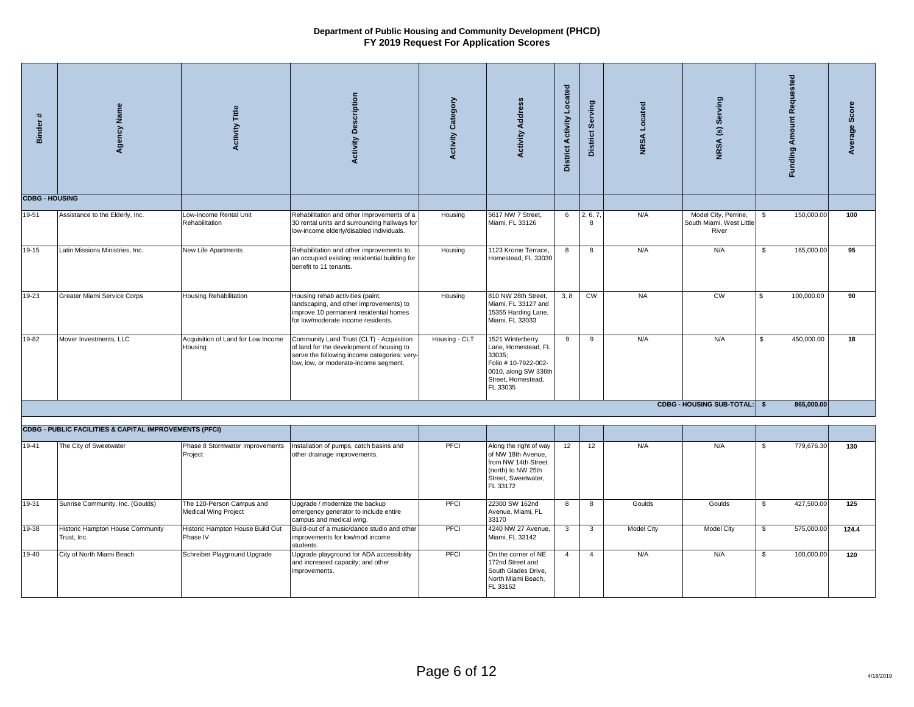| $\pmb{\ast}$<br><b>Binder</b> | Agency Name                                            | <b>Activity Title</b>                                    | Description<br>Activity                                                                                                                                                        | <b>Activity Category</b> | <b>Activity Address</b>                                                                                                             | District Activity Located | District Serving | <b>NRSA</b> Located | Serving<br>NRSA(S)                                        | <b>Funding Amount Requested</b> | Average Score |
|-------------------------------|--------------------------------------------------------|----------------------------------------------------------|--------------------------------------------------------------------------------------------------------------------------------------------------------------------------------|--------------------------|-------------------------------------------------------------------------------------------------------------------------------------|---------------------------|------------------|---------------------|-----------------------------------------------------------|---------------------------------|---------------|
| <b>CDBG - HOUSING</b>         |                                                        |                                                          |                                                                                                                                                                                |                          |                                                                                                                                     |                           |                  |                     |                                                           |                                 |               |
| 19-51                         | Assistance to the Elderly, Inc.                        | Low-Income Rental Unit<br>Rehabilitation                 | Rehabilitation and other improvements of a<br>30 rental units and surrounding hallways for<br>low-income elderly/disabled individuals.                                         | Housing                  | 5617 NW 7 Street,<br>Miami, FL 33126                                                                                                | 6                         | 2, 6, 7<br>8     | N/A                 | Model City, Perrine,<br>South Miami, West Little<br>River | \$<br>150,000.00                | 100           |
| 19-15                         | Latin Missions Ministries, Inc.                        | New Life Apartments                                      | Rehabilitation and other improvements to<br>an occupied existing residential building for<br>benefit to 11 tenants.                                                            | Housing                  | 1123 Krome Terrace,<br>Homestead, FL 33030                                                                                          | 8                         | 8                | N/A                 | N/A                                                       | 165,000.00<br>\$                | 95            |
| 19-23                         | Greater Miami Service Corps                            | Housing Rehabilitation                                   | Housing rehab activities (paint,<br>landscaping, and other improvements) to<br>improve 10 permanent residential homes<br>for low/moderate income residents.                    | Housing                  | 810 NW 28th Street,<br>Miami, FL 33127 and<br>15355 Harding Lane,<br>Miami, FL 33033                                                | 3, 8                      | <b>CW</b>        | <b>NA</b>           | <b>CW</b>                                                 | \$<br>100,000.00                | 90            |
| 19-82                         | Mover Investments, LLC                                 | Acquisition of Land for Low Income<br>Housing            | Community Land Trust (CLT) - Acquisition<br>of land for the development of housing to<br>serve the following income categories: very-<br>low, low, or moderate-income segment. | Housing - CLT            | 1521 Winterberry<br>Lane, Homestead, FL<br>33035:<br>Folio # 10-7922-002-<br>0010, along SW 336th<br>Street, Homestead,<br>FL 33035 | 9                         | 9                | N/A                 | N/A                                                       | 450,000.00<br>\$                | 18            |
|                               |                                                        |                                                          |                                                                                                                                                                                |                          |                                                                                                                                     |                           |                  |                     | CDBG - HOUSING SUB-TOTAL:   \$                            | 865,000.00                      |               |
|                               | CDBG - PUBLIC FACILITIES & CAPITAL IMPROVEMENTS (PFCI) |                                                          |                                                                                                                                                                                |                          |                                                                                                                                     |                           |                  |                     |                                                           |                                 |               |
| $19-41$                       | The City of Sweetwater                                 | Phase 8 Stormwater Improvements<br>Project               | Installation of pumps, catch basins and<br>other drainage improvements.                                                                                                        | PFCI                     | Along the right of way<br>of NW 18th Avenue,<br>from NW 14th Street                                                                 | 12                        | 12               | N/A                 | N/A                                                       | 779,676.30<br>\$                | 130           |
|                               |                                                        |                                                          |                                                                                                                                                                                |                          | (north) to NW 25th<br>Street, Sweetwater,<br>FL 33172                                                                               |                           |                  |                     |                                                           |                                 |               |
| 19-31                         | Sunrise Community, Inc. (Goulds)                       | The 120-Person Campus and<br><b>Medical Wing Project</b> | Upgrade / modernize the backup<br>emergency generator to include entire<br>campus and medical wing.                                                                            | PFCI                     | 22300 SW 162nd<br>Avenue, Miami, FL<br>33170                                                                                        | 8                         | 8                | Goulds              | Goulds                                                    | 427,500.00<br>$\mathbb{S}$      | 125           |
| 19-38                         | Historic Hampton House Community<br>Trust, Inc.        | Historic Hampton House Build Out<br>Phase IV             | Build-out of a music/dance studio and other<br>improvements for low/mod income<br>students.                                                                                    | PFCI                     | 4240 NW 27 Avenue,<br>Miami, FL 33142                                                                                               | 3                         | 3                | Model City          | <b>Model City</b>                                         | 575,000.00<br>\$                | 124.4         |
| $19-40$                       | City of North Miami Beach                              | Schreiber Playground Upgrade                             | Upgrade playground for ADA accessibility<br>and increased capacity; and other<br>improvements.                                                                                 | PFCI                     | On the corner of NE<br>172nd Street and<br>South Glades Drive.<br>North Miami Beach,<br>FL 33162                                    | $\overline{4}$            | $\overline{4}$   | N/A                 | N/A                                                       | 100,000.00<br>\$                | 120           |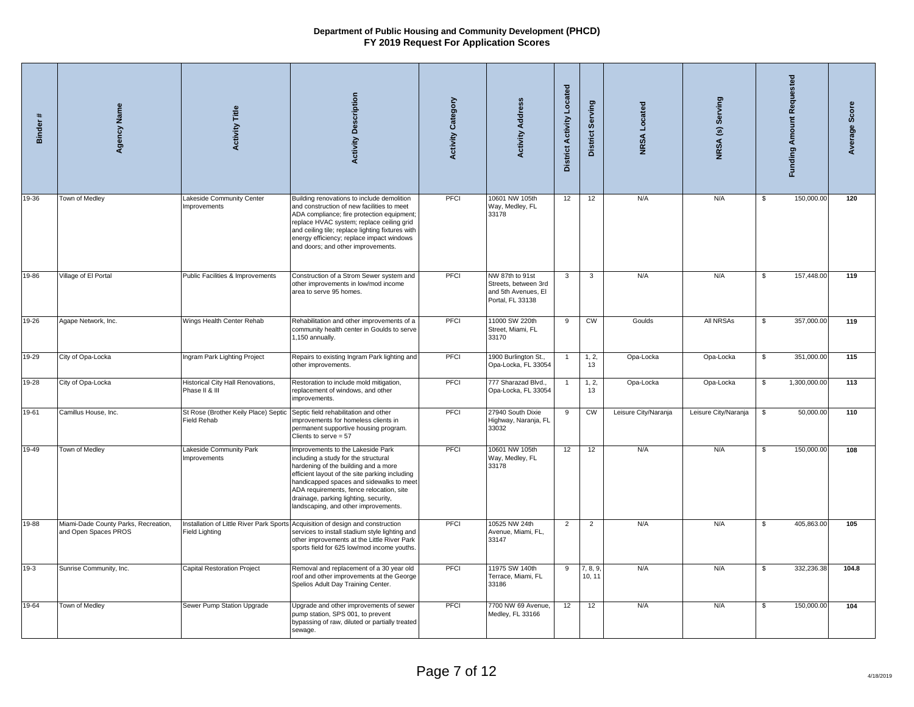| <b>Binder</b> | Agency Name                                                  | <b>Activity Title</b>                               | <b>Activity Description</b>                                                                                                                                                                                                                                                                                                                  | <b>Activity Category</b> | <b>Activity Address</b>                                                            | <b>District Activity Located</b> | District Serving       | <b>NRSA</b> Located  | NRSA (s) Serving     | <b>Funding Amount Requested</b><br>150,000.00<br>\$ |              | Average Score |
|---------------|--------------------------------------------------------------|-----------------------------------------------------|----------------------------------------------------------------------------------------------------------------------------------------------------------------------------------------------------------------------------------------------------------------------------------------------------------------------------------------------|--------------------------|------------------------------------------------------------------------------------|----------------------------------|------------------------|----------------------|----------------------|-----------------------------------------------------|--------------|---------------|
| 19-36         | Town of Medley                                               | Lakeside Community Center<br>Improvements           | Building renovations to include demolition<br>and construction of new facilities to meet<br>ADA compliance; fire protection equipment;<br>replace HVAC system; replace ceiling grid<br>and ceiling tile; replace lighting fixtures with<br>energy efficiency; replace impact windows<br>and doors; and other improvements.                   | PFCI                     | 10601 NW 105th<br>Way, Medley, FL<br>33178                                         | 12                               | 12                     | N/A                  | N/A                  |                                                     |              | 120           |
| 19-86         | Village of El Portal                                         | Public Facilities & Improvements                    | Construction of a Strom Sewer system and<br>other improvements in low/mod income<br>area to serve 95 homes.                                                                                                                                                                                                                                  | PFCI                     | NW 87th to 91st<br>Streets, between 3rd<br>and 5th Avenues, El<br>Portal, FL 33138 | 3                                | $\mathbf{3}$           | N/A                  | N/A                  | \$                                                  | 157,448.00   | 119           |
| 19-26         | Agape Network, Inc.                                          | Wings Health Center Rehab                           | Rehabilitation and other improvements of a<br>community health center in Goulds to serve<br>1,150 annually.                                                                                                                                                                                                                                  | PFCI                     | 11000 SW 220th<br>Street, Miami, FL<br>33170                                       | 9                                | $\overline{\text{cw}}$ | Goulds               | All NRSAs            | \$                                                  | 357,000.00   | 119           |
| 19-29         | City of Opa-Locka                                            | Ingram Park Lighting Project                        | Repairs to existing Ingram Park lighting and<br>other improvements.                                                                                                                                                                                                                                                                          | PFCI                     | 1900 Burlington St.,<br>Opa-Locka, FL 33054                                        | $\mathbf{1}$                     | 1, 2,<br>13            | Opa-Locka            | Opa-Locka            | \$                                                  | 351,000.00   | 115           |
| 19-28         | City of Opa-Locka                                            | Historical City Hall Renovations,<br>Phase II & III | Restoration to include mold mitigation,<br>eplacement of windows, and other<br>mprovements.                                                                                                                                                                                                                                                  | PFCI                     | 777 Sharazad Blvd.,<br>Opa-Locka, FL 33054                                         |                                  | 1, 2,<br>13            | Opa-Locka            | Opa-Locka            | \$                                                  | 1,300,000.00 | 113           |
| $19-61$       | Camillus House, Inc.                                         | St Rose (Brother Keily Place) Septic<br>Field Rehab | Septic field rehabilitation and other<br>improvements for homeless clients in<br>permanent supportive housing program.<br>Clients to serve $= 57$                                                                                                                                                                                            | PFCI                     | 27940 South Dixie<br>Highway, Naranja, FL<br>33032                                 | 9                                | $\overline{\text{cw}}$ | Leisure City/Naranja | Leisure City/Naranja | \$                                                  | 50,000.00    | 110           |
| 19-49         | Town of Medley                                               | Lakeside Community Park<br>Improvements             | Improvements to the Lakeside Park<br>including a study for the structural<br>hardening of the building and a more<br>efficient layout of the site parking including<br>handicapped spaces and sidewalks to meet<br>ADA requirements, fence relocation, site<br>drainage, parking lighting, security,<br>landscaping, and other improvements. | PFCI                     | 10601 NW 105th<br>Way, Medley, FL<br>33178                                         | 12                               | 12                     | N/A                  | N/A                  | \$                                                  | 150,000.00   | 108           |
| 19-88         | Miami-Dade County Parks, Recreation,<br>and Open Spaces PROS | Field Lighting                                      | Installation of Little River Park Sports Acquisition of design and construction<br>services to install stadium style lighting and<br>other improvements at the Little River Park<br>sports field for 625 low/mod income youths.                                                                                                              | PFCI                     | 10525 NW 24th<br>Avenue, Miami, FL,<br>33147                                       | $\overline{2}$                   | $\overline{2}$         | N/A                  | N/A                  | \$                                                  | 405,863.00   | 105           |
| $19-3$        | Sunrise Community, Inc.                                      | <b>Capital Restoration Project</b>                  | Removal and replacement of a 30 year old<br>roof and other improvements at the George<br>Spelios Adult Day Training Center.                                                                                                                                                                                                                  | PFCI                     | 11975 SW 140th<br>Terrace, Miami, FL<br>33186                                      | 9                                | 7, 8, 9<br>10, 11      | N/A                  | N/A                  | \$                                                  | 332,236.38   | 104.8         |
| 19-64         | Town of Medley                                               | Sewer Pump Station Upgrade                          | Upgrade and other improvements of sewer<br>pump station, SPS 001, to prevent<br>bypassing of raw, diluted or partially treated<br>sewage.                                                                                                                                                                                                    | PFCI                     | 7700 NW 69 Avenue,<br>Medley, FL 33166                                             | 12                               | 12                     | N/A                  | N/A                  | \$                                                  | 150,000.00   | 104           |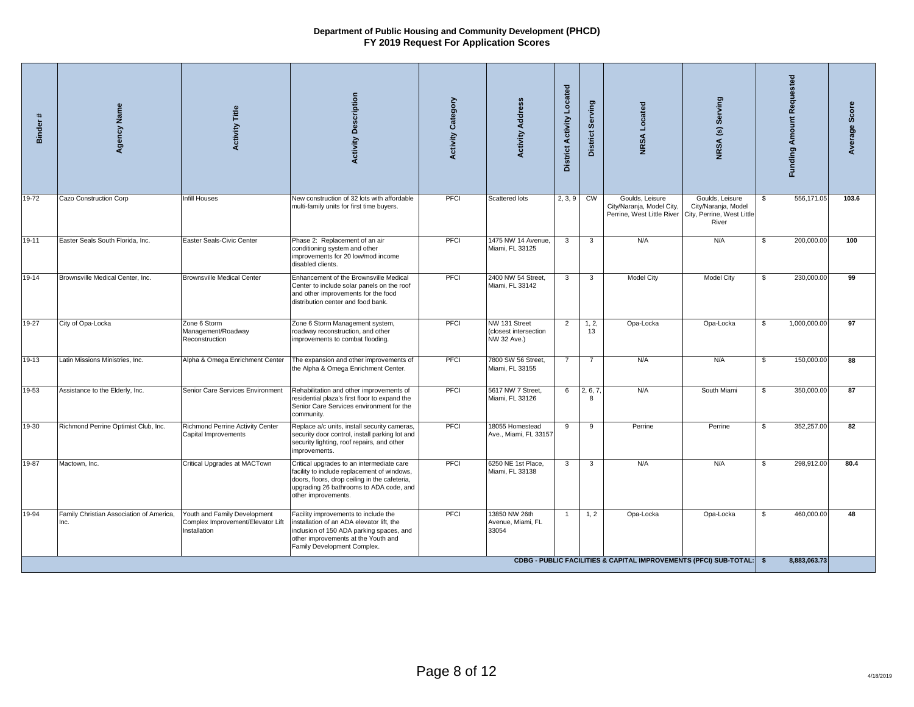| #<br><b>Binder</b> | Agency Name                                      | <b>Activity Title</b>                                                             | <b>Activity Description</b>                                                                                                                                                                                 | <b>Activity Category</b> | <b>Activity Address</b>                               | <b>District Activity Located</b> | Serving<br>District \$ | <b>NRSA</b> Located                                                        | Serving<br>NRSA(s)                                                            | Funding Amount Requested   | Score<br>Average |
|--------------------|--------------------------------------------------|-----------------------------------------------------------------------------------|-------------------------------------------------------------------------------------------------------------------------------------------------------------------------------------------------------------|--------------------------|-------------------------------------------------------|----------------------------------|------------------------|----------------------------------------------------------------------------|-------------------------------------------------------------------------------|----------------------------|------------------|
| 19-72              | Cazo Construction Corp                           | <b>Infill Houses</b>                                                              | New construction of 32 lots with affordable<br>multi-family units for first time buyers.                                                                                                                    | PFCI                     | Scattered lots                                        | 2, 3, 9                          | CW                     | Goulds, Leisure<br>City/Naranja, Model City,<br>Perrine, West Little River | Goulds, Leisure<br>City/Naranja, Model<br>City, Perrine, West Little<br>River | 556,171.05<br>-S           | 103.6            |
| 19-11              | Easter Seals South Florida, Inc.                 | Easter Seals-Civic Center                                                         | Phase 2: Replacement of an air<br>conditioning system and other<br>improvements for 20 low/mod income<br>disabled clients.                                                                                  | PFCI                     | 1475 NW 14 Avenue,<br>Miami, FL 33125                 | 3                                | 3                      | N/A                                                                        | N/A                                                                           | 200,000.00<br>\$           | 100              |
| 19-14              | Brownsville Medical Center, Inc.                 | <b>Brownsville Medical Center</b>                                                 | Enhancement of the Brownsville Medical<br>Center to include solar panels on the roof<br>and other improvements for the food<br>distribution center and food bank.                                           | PFCI                     | 2400 NW 54 Street.<br>Miami, FL 33142                 | 3                                | 3                      | <b>Model City</b>                                                          | <b>Model City</b>                                                             | \$<br>230,000.00           | 99               |
| 19-27              | City of Opa-Locka                                | Zone 6 Storm<br>Management/Roadway<br>Reconstruction                              | Zone 6 Storm Management system,<br>roadway reconstruction, and other<br>improvements to combat flooding.                                                                                                    | PFCI                     | NW 131 Street<br>(closest intersection<br>NW 32 Ave.) | $\overline{2}$                   | 1, 2,<br>13            | Opa-Locka                                                                  | Opa-Locka                                                                     | 1,000,000.00<br>\$         | 97               |
| 19-13              | Latin Missions Ministries, Inc.                  | Alpha & Omega Enrichment Center                                                   | The expansion and other improvements of<br>the Alpha & Omega Enrichment Center.                                                                                                                             | PFCI                     | 7800 SW 56 Street,<br>Miami, FL 33155                 | $\overline{7}$                   | $\overline{7}$         | N/A                                                                        | N/A                                                                           | \$<br>150,000.00           | 88               |
| 19-53              | Assistance to the Elderly, Inc.                  | Senior Care Services Environment                                                  | Rehabilitation and other improvements of<br>residential plaza's first floor to expand the<br>Senior Care Services environment for the<br>community.                                                         | PFCI                     | 5617 NW 7 Street,<br>Miami, FL 33126                  | 6                                | 2, 6, 7<br>-8          | N/A                                                                        | South Miami                                                                   | 350,000.00<br>\$           | 87               |
| 19-30              | Richmond Perrine Optimist Club, Inc.             | Richmond Perrine Activity Center<br>Capital Improvements                          | Replace a/c units, install security cameras,<br>security door control, install parking lot and<br>security lighting, roof repairs, and other<br>improvements.                                               | PFCI                     | 18055 Homestead<br>Ave., Miami, FL 33157              | 9                                | 9                      | Perrine                                                                    | Perrine                                                                       | 352,257.00<br>\$           | 82               |
| 19-87              | Mactown, Inc.                                    | Critical Upgrades at MACTown                                                      | Critical upgrades to an intermediate care<br>facility to include replacement of windows,<br>doors, floors, drop ceiling in the cafeteria,<br>upgrading 26 bathrooms to ADA code, and<br>other improvements. | PFCI                     | 6250 NE 1st Place,<br>Miami, FL 33138                 | $\mathbf{3}$                     | 3                      | N/A                                                                        | N/A                                                                           | $\mathbb{S}$<br>298,912.00 | 80.4             |
| 19-94              | Family Christian Association of America,<br>Inc. | Youth and Family Development<br>Complex Improvement/Elevator Lift<br>Installation | Facility improvements to include the<br>installation of an ADA elevator lift, the<br>inclusion of 150 ADA parking spaces, and<br>other improvements at the Youth and<br>Family Development Complex.         | PFCI                     | 13850 NW 26th<br>Avenue, Miami, FL<br>33054           | $\overline{1}$                   | 1, 2                   | Opa-Locka                                                                  | Opa-Locka                                                                     | 460,000.00<br>\$           | 48               |
|                    |                                                  |                                                                                   |                                                                                                                                                                                                             |                          |                                                       |                                  |                        | CDBG - PUBLIC FACILITIES & CAPITAL IMPROVEMENTS (PFCI) SUB-TOTAL:          |                                                                               | 8,883,063.73<br>- \$       |                  |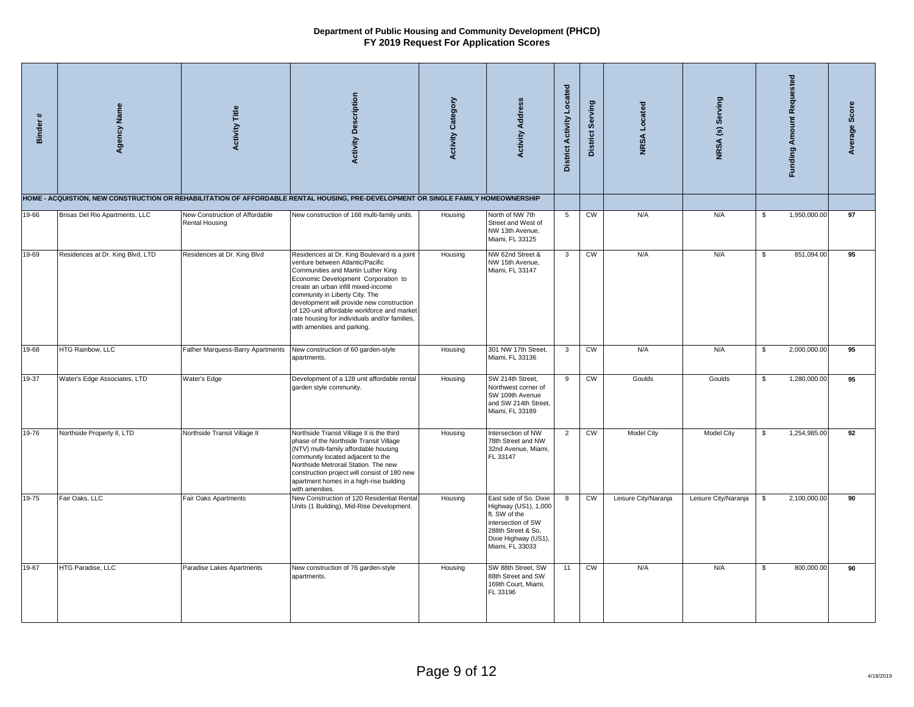| $\ddot{}$<br><b>Binder</b> | Agency Name                      | <b>Activity Title</b>                            | <b>Activity Description</b>                                                                                                                                                                                                                                                                                                                                                                                       | <b>Activity Category</b> | <b>Activity Address</b>                                                                                                                                | District Activity Located | District Serving       | <b>NRSA</b> Located  | NRSA (s) Serving     | <b>Funding Amount Requested</b> |              | Average Score |
|----------------------------|----------------------------------|--------------------------------------------------|-------------------------------------------------------------------------------------------------------------------------------------------------------------------------------------------------------------------------------------------------------------------------------------------------------------------------------------------------------------------------------------------------------------------|--------------------------|--------------------------------------------------------------------------------------------------------------------------------------------------------|---------------------------|------------------------|----------------------|----------------------|---------------------------------|--------------|---------------|
|                            |                                  |                                                  | HOME - ACQUISTION, NEW CONSTRUCTION OR REHABILITATION OF AFFORDABLE RENTAL HOUSING, PRE-DEVELOPMENT OR SINGLE FAMILY HOMEOWNERSHIP                                                                                                                                                                                                                                                                                |                          |                                                                                                                                                        |                           |                        |                      |                      |                                 |              |               |
| 19-66                      | Brisas Del Rio Apartments, LLC   | New Construction of Affordable<br>Rental Housing | New construction of 168 multi-family units.                                                                                                                                                                                                                                                                                                                                                                       | Housing                  | North of NW 7th<br>Street and West of<br>NW 13th Avenue,<br>Miami, FL 33125                                                                            | $5\overline{5}$           | <b>CW</b>              | N/A                  | N/A                  | $\mathfrak{s}$                  | 1,950,000.00 | 97            |
| 19-69                      | Residences at Dr. King Blvd, LTD | Residences at Dr. King Blvd                      | Residences at Dr. King Boulevard is a joint<br>venture between Atlantic/Pacific<br>Communities and Martin Luther King<br>Economic Development Corporation to<br>create an urban infill mixed-income<br>community in Liberty City. The<br>development will provide new construction<br>of 120-unit affordable workforce and market<br>rate housing for individuals and/or families,<br>with amenities and parking. | Housing                  | NW 62nd Street &<br>NW 15th Avenue,<br>Miami, FL 33147                                                                                                 | 3                         | $\overline{\text{cw}}$ | N/A                  | N/A                  | S.                              | 851,094.00   | 95            |
| 19-68                      | HTG Rainbow, LLC                 | Father Marquess-Barry Apartments                 | New construction of 60 garden-style<br>apartments.                                                                                                                                                                                                                                                                                                                                                                | Housing                  | 301 NW 17th Street,<br>Miami, FL 33136                                                                                                                 | $\mathbf{3}$              | CW                     | N/A                  | N/A                  | \$                              | 2,000,000.00 | 95            |
| 19-37                      | Water's Edge Associates, LTD     | Water's Edge                                     | Development of a 128 unit affordable rental<br>garden style community.                                                                                                                                                                                                                                                                                                                                            | Housing                  | SW 214th Street,<br>Northwest corner of<br>SW 109th Avenue<br>and SW 214th Street,<br>Miami, FL 33189                                                  | 9                         | cw                     | Goulds               | Goulds               | \$                              | 1,280,000.00 | 95            |
| $19 - 76$                  | Northside Property II, LTD       | Northside Transit Village II                     | Northside Transit Village II is the third<br>phase of the Northside Transit Village<br>(NTV) multi-family affordable housing<br>community located adjacent to the<br>Northside Metrorail Station. The new<br>construction project will consist of 180 new<br>apartment homes in a high-rise building<br>with amenities.                                                                                           | Housing                  | Intersection of NW<br>78th Street and NW<br>32nd Avenue, Miami,<br>FL 33147                                                                            | $\overline{2}$            | <b>CW</b>              | <b>Model City</b>    | <b>Model City</b>    | $\mathfrak{s}$                  | 1,254,985.00 | 92            |
| 19-75                      | Fair Oaks, LLC                   | Fair Oaks Apartments                             | New Construction of 120 Residential Rental<br>Units (1 Building), Mid-Rise Development.                                                                                                                                                                                                                                                                                                                           | Housing                  | East side of So. Dixie<br>Highway (US1), 1,000<br>ft. SW of the<br>intersection of SW<br>288th Street & So.<br>Dixie Highway (US1),<br>Miami, FL 33033 | 8                         | CW                     | Leisure City/Naranja | Leisure City/Naranja | \$                              | 2,100,000.00 | 90            |
| 19-67                      | HTG Paradise, LLC                | Paradise Lakes Apartments                        | New construction of 76 garden-style<br>apartments.                                                                                                                                                                                                                                                                                                                                                                | Housing                  | SW 88th Street, SW<br>88th Street and SW<br>169th Court, Miami,<br>FL 33196                                                                            | 11                        | CW                     | N/A                  | N/A                  | \$                              | 800,000.00   | 90            |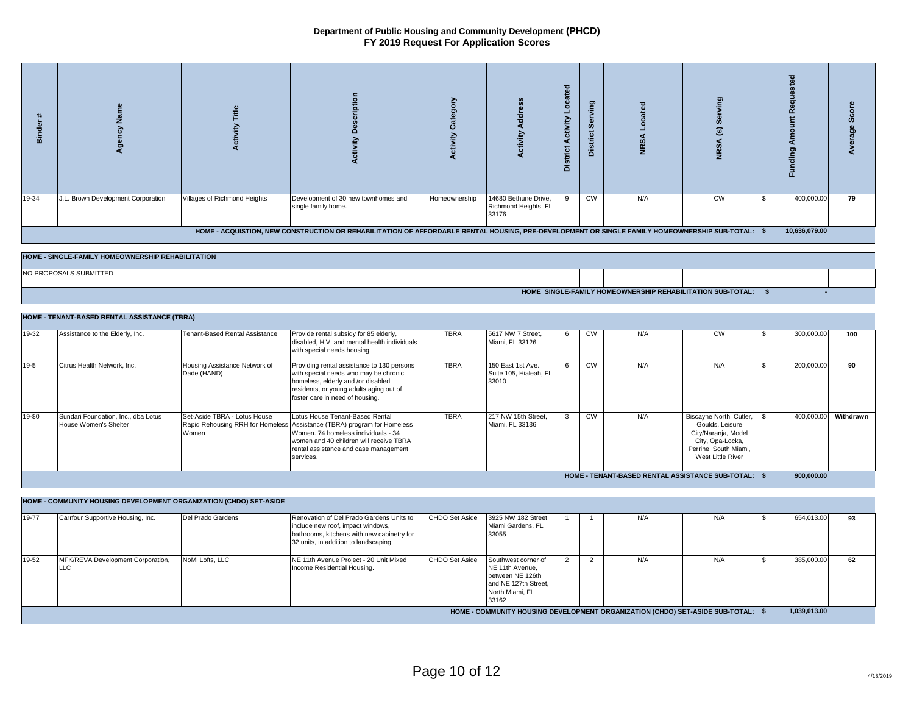| $\ddagger$<br>Binder                                                                                                                             | Agency Name                                                        | <b>Activity Title</b>                                                     | <b>Activity Description</b>                                                                                                                                                                                       | <b>Activity Category</b> | <b>Activity Address</b>                                                                                        | <b>District Activity Located</b> | District Serving       | <b>NRSA</b> Located                                                              | NRSA (s) Serving                                                                                                                    | <b>Funding Amount Requested</b><br>400,000.00<br>\$ |              | Average Score |  |
|--------------------------------------------------------------------------------------------------------------------------------------------------|--------------------------------------------------------------------|---------------------------------------------------------------------------|-------------------------------------------------------------------------------------------------------------------------------------------------------------------------------------------------------------------|--------------------------|----------------------------------------------------------------------------------------------------------------|----------------------------------|------------------------|----------------------------------------------------------------------------------|-------------------------------------------------------------------------------------------------------------------------------------|-----------------------------------------------------|--------------|---------------|--|
| 19-34                                                                                                                                            | J.L. Brown Development Corporation                                 | Villages of Richmond Heights                                              | Development of 30 new townhomes and<br>single family home.                                                                                                                                                        | Homeownership            | 4680 Bethune Drive,<br>Richmond Heights, FL<br>33176                                                           | 9                                | cw                     | N/A                                                                              | cw                                                                                                                                  |                                                     |              | 79            |  |
| HOME - ACQUISTION, NEW CONSTRUCTION OR REHABILITATION OF AFFORDABLE RENTAL HOUSING, PRE-DEVELOPMENT OR SINGLE FAMILY HOMEOWNERSHIP SUB-TOTAL: \$ |                                                                    |                                                                           |                                                                                                                                                                                                                   |                          |                                                                                                                |                                  |                        |                                                                                  |                                                                                                                                     |                                                     |              |               |  |
|                                                                                                                                                  | HOME - SINGLE-FAMILY HOMEOWNERSHIP REHABILITATION                  |                                                                           |                                                                                                                                                                                                                   |                          |                                                                                                                |                                  |                        |                                                                                  |                                                                                                                                     |                                                     |              |               |  |
| NO PROPOSALS SUBMITTED                                                                                                                           |                                                                    |                                                                           |                                                                                                                                                                                                                   |                          |                                                                                                                |                                  |                        |                                                                                  |                                                                                                                                     |                                                     |              |               |  |
| HOME SINGLE-FAMILY HOMEOWNERSHIP REHABILITATION SUB-TOTAL: \$                                                                                    |                                                                    |                                                                           |                                                                                                                                                                                                                   |                          |                                                                                                                |                                  |                        |                                                                                  |                                                                                                                                     |                                                     |              |               |  |
| HOME - TENANT-BASED RENTAL ASSISTANCE (TBRA)                                                                                                     |                                                                    |                                                                           |                                                                                                                                                                                                                   |                          |                                                                                                                |                                  |                        |                                                                                  |                                                                                                                                     |                                                     |              |               |  |
|                                                                                                                                                  |                                                                    |                                                                           |                                                                                                                                                                                                                   |                          |                                                                                                                |                                  |                        |                                                                                  |                                                                                                                                     |                                                     |              |               |  |
| 19-32                                                                                                                                            | Assistance to the Elderly, Inc.                                    | Tenant-Based Rental Assistance                                            | Provide rental subsidy for 85 elderly,<br>disabled, HIV, and mental health individuals<br>with special needs housing.                                                                                             | <b>TBRA</b>              | 5617 NW 7 Street,<br>Miami, FL 33126                                                                           | 6                                | <b>CW</b>              | N/A                                                                              | <b>CW</b>                                                                                                                           | S                                                   | 300,000.00   | 100           |  |
| $19-5$                                                                                                                                           | Citrus Health Network, Inc.                                        | Housing Assistance Network of<br>Dade (HAND)                              | Providing rental assistance to 130 persons<br>with special needs who may be chronic<br>homeless, elderly and /or disabled<br>residents, or young adults aging out of<br>foster care in need of housing.           | <b>TBRA</b>              | 150 East 1st Ave.,<br>Suite 105, Hialeah, FL<br>33010                                                          | 6                                | $\overline{\text{cm}}$ | N/A                                                                              | N/A                                                                                                                                 | $\mathfrak{s}$                                      | 200,000.00   | 90            |  |
| 19-80                                                                                                                                            | Sundari Foundation, Inc., dba Lotus<br>House Women's Shelter       | Set-Aside TBRA - Lotus House<br>Rapid Rehousing RRH for Homeless<br>Women | Lotus House Tenant-Based Rental<br>Assistance (TBRA) program for Homeless<br>Women. 74 homeless individuals - 34<br>women and 40 children will receive TBRA<br>rental assistance and case management<br>services. | <b>TBRA</b>              | 217 NW 15th Street,<br>Miami, FL 33136                                                                         | $\mathbf{3}$                     | CW                     | N/A                                                                              | Biscayne North, Cutler,<br>Goulds, Leisure<br>City/Naranja, Model<br>City, Opa-Locka,<br>Perrine, South Miami,<br>West Little River | -S                                                  | 400,000.00   | Withdrawn     |  |
|                                                                                                                                                  |                                                                    |                                                                           |                                                                                                                                                                                                                   |                          |                                                                                                                |                                  |                        | HOME - TENANT-BASED RENTAL ASSISTANCE SUB-TOTAL: \$                              |                                                                                                                                     |                                                     | 900,000.00   |               |  |
|                                                                                                                                                  |                                                                    |                                                                           |                                                                                                                                                                                                                   |                          |                                                                                                                |                                  |                        |                                                                                  |                                                                                                                                     |                                                     |              |               |  |
|                                                                                                                                                  | HOME - COMMUNITY HOUSING DEVELOPMENT ORGANIZATION (CHDO) SET-ASIDE |                                                                           |                                                                                                                                                                                                                   |                          |                                                                                                                |                                  |                        |                                                                                  |                                                                                                                                     |                                                     |              |               |  |
| 19-77                                                                                                                                            | Carrfour Supportive Housing, Inc.                                  | Del Prado Gardens                                                         | Renovation of Del Prado Gardens Units to<br>include new roof, impact windows,<br>bathrooms, kitchens with new cabinetry for<br>32 units, in addition to landscaping.                                              | CHDO Set Aside           | 3925 NW 182 Street,<br>Miami Gardens, FL<br>33055                                                              |                                  |                        | N/A                                                                              | N/A                                                                                                                                 | £.                                                  | 654,013.00   | 93            |  |
| 19-52                                                                                                                                            | MFK/REVA Development Corporation,<br><b>LLC</b>                    | NoMi Lofts, LLC                                                           | NE 11th Avenue Project - 20 Unit Mixed<br>Income Residential Housing.                                                                                                                                             | CHDO Set Aside           | Southwest corner of<br>NE 11th Avenue,<br>between NE 126th<br>and NE 127th Street,<br>North Miami, FL<br>33162 | 2                                | 2                      | N/A                                                                              | N/A                                                                                                                                 | $\mathfrak{s}$                                      | 385,000.00   | 62            |  |
|                                                                                                                                                  |                                                                    |                                                                           |                                                                                                                                                                                                                   |                          |                                                                                                                |                                  |                        | HOME - COMMUNITY HOUSING DEVELOPMENT ORGANIZATION (CHDO) SET-ASIDE SUB-TOTAL: \$ |                                                                                                                                     |                                                     | 1,039,013.00 |               |  |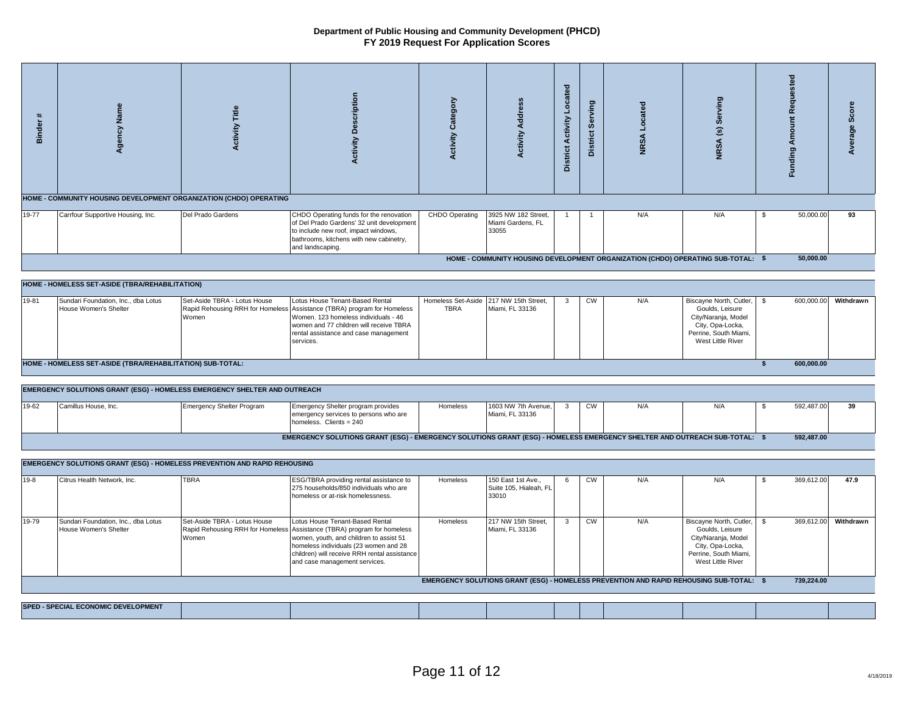| #<br><b>Binder</b>                                                                      | Agency Name                                                               | <b>Activity Title</b>                 | Description<br>Activity                                                                                                                                                                                                                                                         | <b>Activity Category</b>          | <b>Activity Address</b>                               | <b>District Activity Located</b> | Serving<br><b>District</b> | <b>NRSA</b> Located | Serving<br>NRSA <sub>(S)</sub>                                                                                                      | <b>Funding Amount Requested</b> | Average Score |
|-----------------------------------------------------------------------------------------|---------------------------------------------------------------------------|---------------------------------------|---------------------------------------------------------------------------------------------------------------------------------------------------------------------------------------------------------------------------------------------------------------------------------|-----------------------------------|-------------------------------------------------------|----------------------------------|----------------------------|---------------------|-------------------------------------------------------------------------------------------------------------------------------------|---------------------------------|---------------|
| HOME - COMMUNITY HOUSING DEVELOPMENT ORGANIZATION (CHDO) OPERATING                      |                                                                           |                                       |                                                                                                                                                                                                                                                                                 |                                   |                                                       |                                  |                            |                     |                                                                                                                                     |                                 |               |
| 19-77                                                                                   | Carrfour Supportive Housing, Inc.                                         | Del Prado Gardens                     | CHDO Operating funds for the renovation<br>of Del Prado Gardens' 32 unit development<br>to include new roof, impact windows,<br>bathrooms, kitchens with new cabinetry,<br>and landscaping.                                                                                     | CHDO Operating                    | 3925 NW 182 Street,<br>Miami Gardens, FL<br>33055     |                                  |                            | N/A                 | N/A                                                                                                                                 | 50,000.00<br>-S                 | 93            |
| HOME - COMMUNITY HOUSING DEVELOPMENT ORGANIZATION (CHDO) OPERATING SUB-TOTAL: \$        |                                                                           |                                       |                                                                                                                                                                                                                                                                                 |                                   |                                                       |                                  |                            |                     | 50,000.00                                                                                                                           |                                 |               |
|                                                                                         |                                                                           |                                       |                                                                                                                                                                                                                                                                                 |                                   |                                                       |                                  |                            |                     |                                                                                                                                     |                                 |               |
|                                                                                         | HOME - HOMELESS SET-ASIDE (TBRA/REHABILITATION)                           |                                       |                                                                                                                                                                                                                                                                                 |                                   |                                                       |                                  |                            |                     |                                                                                                                                     |                                 |               |
| 19-81                                                                                   | Sundari Foundation, Inc., dba Lotus<br>House Women's Shelter              | Set-Aside TBRA - Lotus House<br>Women | Lotus House Tenant-Based Rental<br>Rapid Rehousing RRH for Homeless Assistance (TBRA) program for Homeless<br>Women. 123 homeless individuals - 46<br>women and 77 children will receive TBRA<br>rental assistance and case management<br>services.                             | Homeless Set-Aside<br><b>TBRA</b> | 217 NW 15th Street,<br>Miami, FL 33136                | 3                                | <b>CW</b>                  | N/A                 | Biscayne North, Cutler,<br>Goulds, Leisure<br>City/Naranja, Model<br>City, Opa-Locka,<br>Perrine, South Miami,<br>West Little River | \$<br>600,000.00                | Withdrawn     |
| HOME - HOMELESS SET-ASIDE (TBRA/REHABILITATION) SUB-TOTAL:                              |                                                                           |                                       |                                                                                                                                                                                                                                                                                 |                                   |                                                       |                                  |                            |                     |                                                                                                                                     | 600,000.00<br>$\mathbf{s}$      |               |
|                                                                                         |                                                                           |                                       |                                                                                                                                                                                                                                                                                 |                                   |                                                       |                                  |                            |                     |                                                                                                                                     |                                 |               |
|                                                                                         | EMERGENCY SOLUTIONS GRANT (ESG) - HOMELESS EMERGENCY SHELTER AND OUTREACH |                                       |                                                                                                                                                                                                                                                                                 |                                   |                                                       |                                  |                            |                     |                                                                                                                                     |                                 |               |
| 19-62                                                                                   | Camillus House, Inc.                                                      | <b>Emergency Shelter Program</b>      | Emergency Shelter program provides<br>emergency services to persons who are<br>homeless. Clients = 240                                                                                                                                                                          | Homeless                          | 1603 NW 7th Avenue,<br>Miami, FL 33136                | 3                                | <b>CW</b>                  | N/A                 | N/A                                                                                                                                 | 592,487.00<br>- \$              | 39            |
|                                                                                         |                                                                           |                                       | EMERGENCY SOLUTIONS GRANT (ESG) - EMERGENCY SOLUTIONS GRANT (ESG) - HOMELESS EMERGENCY SHELTER AND OUTREACH SUB-TOTAL: \$                                                                                                                                                       |                                   |                                                       |                                  |                            |                     |                                                                                                                                     | 592,487.00                      |               |
|                                                                                         |                                                                           |                                       |                                                                                                                                                                                                                                                                                 |                                   |                                                       |                                  |                            |                     |                                                                                                                                     |                                 |               |
|                                                                                         | EMERGENCY SOLUTIONS GRANT (ESG) - HOMELESS PREVENTION AND RAPID REHOUSING |                                       |                                                                                                                                                                                                                                                                                 |                                   |                                                       |                                  |                            |                     |                                                                                                                                     |                                 |               |
| $19-8$                                                                                  | Citrus Health Network, Inc.                                               | <b>TBRA</b>                           | ESG/TBRA providing rental assistance to<br>275 households/850 individuals who are<br>homeless or at-risk homelessness.                                                                                                                                                          | Homeless                          | 150 East 1st Ave.,<br>Suite 105, Hialeah, FL<br>33010 | 6                                | CW                         | N/A                 | N/A                                                                                                                                 | 369,612.00<br>\$                | 47.9          |
| 19-79                                                                                   | Sundari Foundation, Inc., dba Lotus<br>House Women's Shelter              | Set-Aside TBRA - Lotus House<br>Women | Lotus House Tenant-Based Rental<br>Rapid Rehousing RRH for Homeless Assistance (TBRA) program for homeless<br>women, youth, and children to assist 51<br>homeless individuals (23 women and 28<br>children) will receive RRH rental assistance<br>and case management services. | Homeless                          | 217 NW 15th Street,<br>Miami, FL 33136                | $\mathbf{3}$                     | $\overline{\text{cm}}$     | N/A                 | Biscayne North, Cutler,<br>Goulds, Leisure<br>City/Naranja, Model<br>City, Opa-Locka,<br>Perrine, South Miami,<br>West Little River | 369,612.00<br>$\mathbb{S}$      | Withdrawn     |
| EMERGENCY SOLUTIONS GRANT (ESG) - HOMELESS PREVENTION AND RAPID REHOUSING SUB-TOTAL: \$ |                                                                           |                                       |                                                                                                                                                                                                                                                                                 |                                   |                                                       |                                  |                            |                     |                                                                                                                                     | 739,224.00                      |               |
|                                                                                         |                                                                           |                                       |                                                                                                                                                                                                                                                                                 |                                   |                                                       |                                  |                            |                     |                                                                                                                                     |                                 |               |
|                                                                                         | <b>SPED - SPECIAL ECONOMIC DEVELOPMENT</b>                                |                                       |                                                                                                                                                                                                                                                                                 |                                   |                                                       |                                  |                            |                     |                                                                                                                                     |                                 |               |